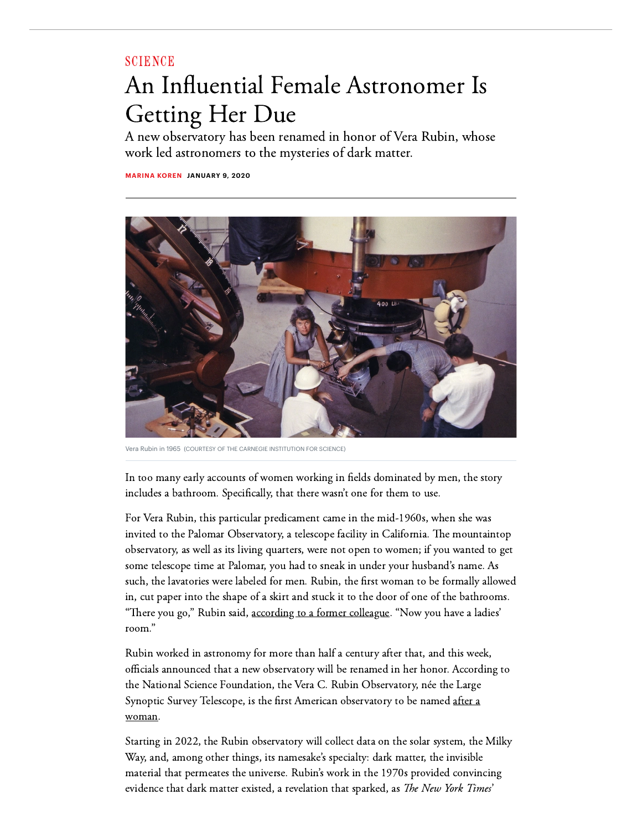## **[SCIENCE](https://www.theatlantic.com/science/)**

## An Influential Female Astronomer Is Getting Her Due

A new observatory has been renamed in honor of Vera Rubin, whose work led astronomers to the mysteries of dark matter.

**[MARINA](https://www.theatlantic.com/author/marina-koren/) KOREN JANUARY 9, 2020**



Vera Rubin in 1965 (COURTESY OF THE CARNEGIE INSTITUTION FOR SCIENCE)

In too many early accounts of women working in fields dominated by men, the story includes a bathroom. Specifically, that there wasn't one for them to use.

For Vera Rubin, this particular predicament came in the mid-1960s, when she was invited to the Palomar Observatory, a telescope facility in California. The mountaintop observatory, as well as its living quarters, were not open to women; if you wanted to get some telescope time at Palomar, you had to sneak in under your husband's name. As such, the lavatories were labeled for men. Rubin, the first woman to be formally allowed in, cut paper into the shape of a skirt and stuck it to the door of one of the bathrooms. "There you go," Rubin said, [according](http://www.astronomy.com/news/2016/10/vera-rubin) to a former colleague. "Now you have a ladies' room."

Rubin worked in astronomy for more than half a century after that, and this week, officials announced that a new observatory will be renamed in her honor. According to the National Science Foundation, the Vera C. Rubin Observatory, née the Large [Synoptic Survey](https://www.nsf.gov/news/news_summ.jsp?cntn_id=299739) Telescope, is the first American observatory to be named after a woman.

Starting in 2022, the Rubin observatory will collect data on the solar system, the Milky Way, and, among other things, its namesake's specialty: dark matter, the invisible material that permeates the universe. Rubin's work in the 1970s provided convincing evidence that dark matter existed, a revelation that sparked, as *The New York Times*'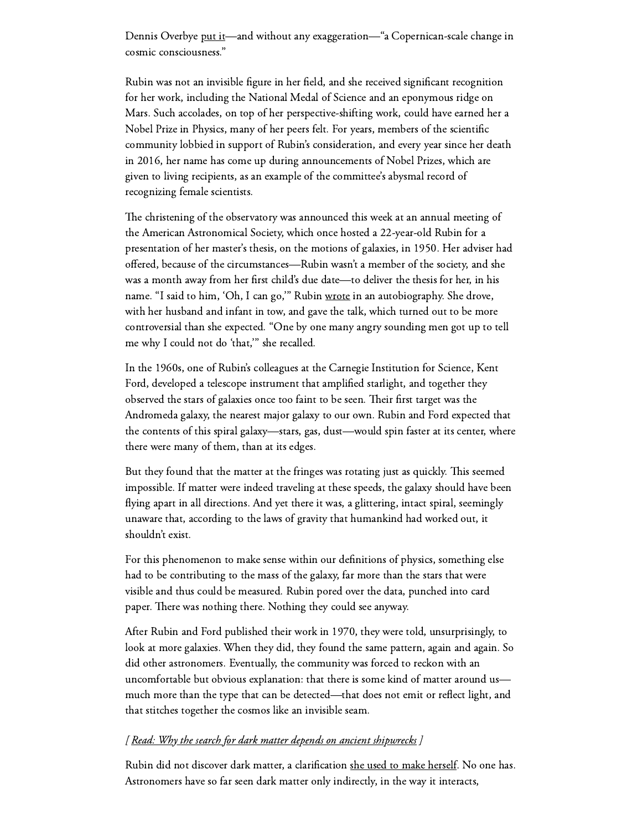Dennis Overbye [put](https://www.nytimes.com/2016/12/27/science/vera-rubin-astronomist-who-made-the-case-for-dark-matter-dies-at-88.html) it—and without any exaggeration—"a Copernican-scale change in cosmic consciousness."

Rubin was not an invisible figure in her field, and she received significant recognition for her work, including the National Medal of Science and an eponymous ridge on Mars. Such accolades, on top of her perspective-shifting work, could have earned her a Nobel Prize in Physics, many of her peers felt. For years, members of the scientific community lobbied in support of Rubin's consideration, and every year since her death in 2016, her name has come up during announcements of Nobel Prizes, which are given to living recipients, as an example of the committee's abysmal record of recognizing female scientists.

The christening of the observatory was announced this week at an annual meeting of the American Astronomical Society, which once hosted a 22-year-old Rubin for a presentation of her master's thesis, on the motions of galaxies, in 1950. Her adviser had offered, because of the circumstances—Rubin wasn't a member of the society, and she was a month away from her first child's due date—to deliver the thesis for her, in his name. "I said to him, 'Oh, I can go," Rubin [wrote](https://www.annualreviews.org/doi/pdf/10.1146/annurev-astro-081710-102545) in an autobiography. She drove, with her husband and infant in tow, and gave the talk, which turned out to be more controversial than she expected. "One by one many angry sounding men got up to tell me why I could not do 'that,'" she recalled.

In the 1960s, one of Rubin's colleagues at the Carnegie Institution for Science, Kent Ford, developed a telescope instrument that amplified starlight, and together they observed the stars of galaxies once too faint to be seen. Their first target was the Andromeda galaxy, the nearest major galaxy to our own. Rubin and Ford expected that the contents of this spiral galaxy—stars, gas, dust—would spin faster at its center, where there were many of them, than at its edges.

But they found that the matter at the fringes was rotating just as quickly. This seemed impossible. If matter were indeed traveling at these speeds, the galaxy should have been flying apart in all directions. And yet there it was, a glittering, intact spiral, seemingly unaware that, according to the laws of gravity that humankind had worked out, it shouldn't exist.

For this phenomenon to make sense within our definitions of physics, something else had to be contributing to the mass of the galaxy, far more than the stars that were visible and thus could be measured. Rubin pored over the data, punched into card paper. There was nothing there. Nothing they could see anyway.

After Rubin and Ford published their work in 1970, they were told, unsurprisingly, to look at more galaxies. When they did, they found the same pattern, again and again. So did other astronomers. Eventually, the community was forced to reckon with an uncomfortable but obvious explanation: that there is some kind of matter around us much more than the type that can be detected—that does not emit or reflect light, and that stitches together the cosmos like an invisible seam.

## [ Read: Why the search for dark matter depends on ancient [shipwrecks](https://www.theatlantic.com/science/archive/2019/10/search-dark-matter-depends-ancient-shipwrecks/600718/) ]

Rubin did not discover dark matter, a clarification she used to make [herself](https://blogs.scientificamerican.com/guest-blog/vera-rubin-didnt-discover-dark-matter/). No one has. Astronomers have so far seen dark matter only indirectly, in the way it interacts,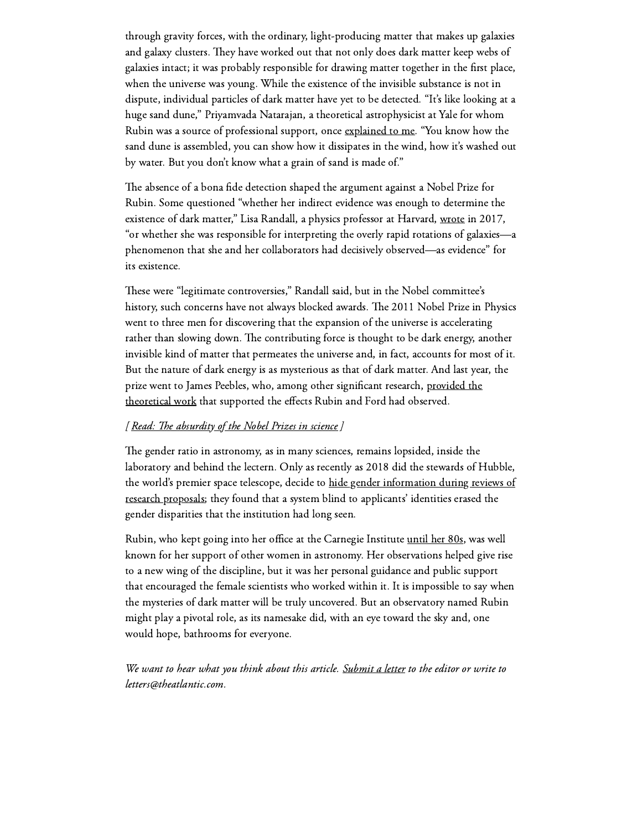through gravity forces, with the ordinary, light-producing matter that makes up galaxies and galaxy clusters. They have worked out that not only does dark matter keep webs of galaxies intact; it was probably responsible for drawing matter together in the first place, when the universe was young. While the existence of the invisible substance is not in dispute, individual particles of dark matter have yet to be detected. "It's like looking at a huge sand dune," Priyamvada Natarajan, a theoretical astrophysicist at Yale for whom Rubin was a source of professional support, once [explained](https://www.theatlantic.com/science/archive/2018/02/big-bang-first-stars-early-universe-hydrogen/554483/) to me. "You know how the sand dune is assembled, you can show how it dissipates in the wind, how it's washed out by water. But you don't know what a grain of sand is made of."

The absence of a bona fide detection shaped the argument against a Nobel Prize for Rubin. Some questioned "whether her indirect evidence was enough to determine the existence of dark matter," Lisa Randall, a physics professor at Harvard, [wrote](https://www.nytimes.com/2017/01/04/opinion/why-vera-rubin-deserved-a-nobel.html) in 2017, "or whether she was responsible for interpreting the overly rapid rotations of galaxies—a phenomenon that she and her collaborators had decisively observed—as evidence" for its existence.

These were "legitimate controversies," Randall said, but in the Nobel committee's history, such concerns have not always blocked awards. The 2011 Nobel Prize in Physics went to three men for discovering that the expansion of the universe is accelerating rather than slowing down. The contributing force is thought to be dark energy, another invisible kind of matter that permeates the universe and, in fact, accounts for most of it. But the nature of dark energy is as mysterious as that of dark matter. And last year, the prize went to James Peebles, who, among other significant research, provided the theoretical work that supported the effects Rubin and Ford had observed.

## [Read: The [absurdity](https://www.theatlantic.com/science/archive/2017/10/the-absurdity-of-the-nobel-prizes-in-science/541863/) of the Nobel Prizes in science]

The gender ratio in astronomy, as in many sciences, remains lopsided, inside the laboratory and behind the lectern. Only as recently as 2018 did the stewards of Hubble, the world's premier space telescope, decide to hide gender [information](https://www.theatlantic.com/science/archive/2018/12/hubble-space-telescope-gender-disparity/578545/) during reviews of research proposals; they found that a system blind to applicants' identities erased the gender disparities that the institution had long seen.

Rubin, who kept going into her office at the Carnegie Institute [until](https://www.bitchmedia.org/article/vera-rubin-dark-matter) her 80s, was well known for her support of other women in astronomy. Her observations helped give rise to a new wing of the discipline, but it was her personal guidance and public support that encouraged the female scientists who worked within it. It is impossible to say when the mysteries of dark matter will be truly uncovered. But an observatory named Rubin might play a pivotal role, as its namesake did, with an eye toward the sky and, one would hope, bathrooms for everyone.

We want to hear what you think about this article. [Submit](https://www.theatlantic.com/contact/letters/) a letter to the editor or write to letters@theatlantic.com.